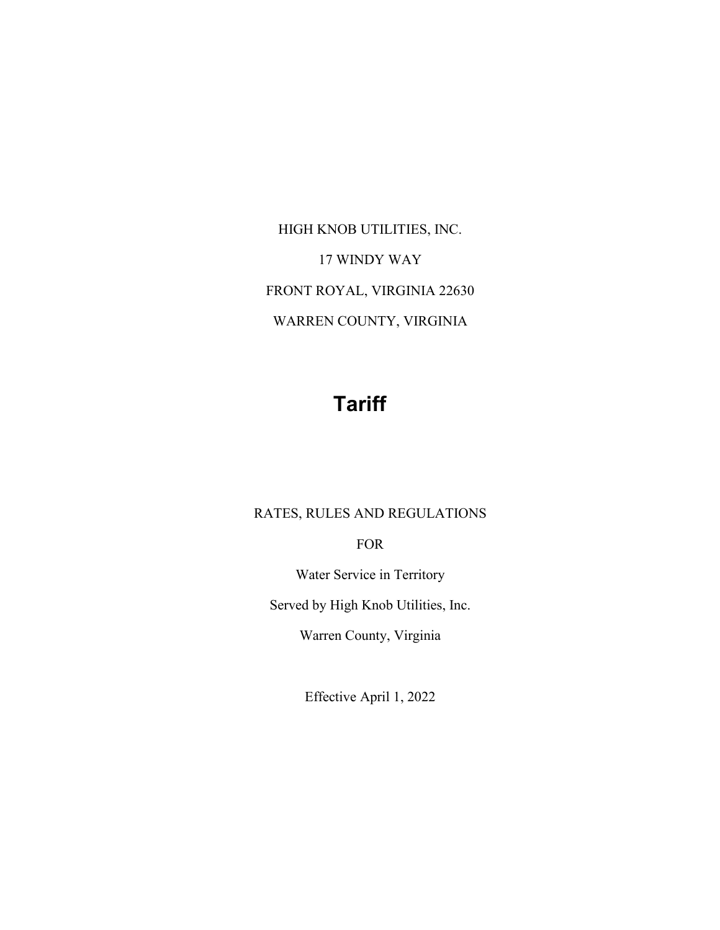HIGH KNOB UTILITIES, INC. 17 WINDY WAY FRONT ROYAL, VIRGINIA 22630 WARREN COUNTY, VIRGINIA

# **Tariff**

### RATES, RULES AND REGULATIONS

FOR

Water Service in Territory

Served by High Knob Utilities, Inc.

Warren County, Virginia

Effective April 1, 2022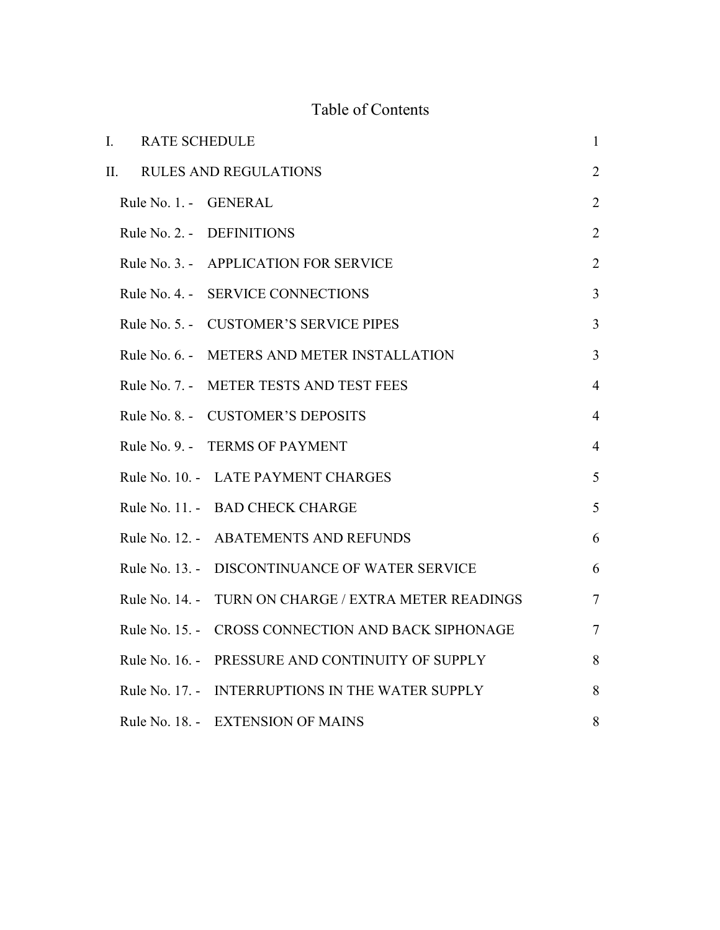## Table of Contents

| I. | <b>RATE SCHEDULE</b>  |                                         | $\mathbf{1}$   |
|----|-----------------------|-----------------------------------------|----------------|
| Π. |                       | <b>RULES AND REGULATIONS</b>            | $\overline{2}$ |
|    | Rule No. 1. - GENERAL |                                         | $\overline{2}$ |
|    |                       | Rule No. 2. - DEFINITIONS               | $\overline{2}$ |
|    |                       | Rule No. 3. - APPLICATION FOR SERVICE   | $\overline{2}$ |
|    | Rule No. 4. -         | <b>SERVICE CONNECTIONS</b>              | $\overline{3}$ |
|    |                       | Rule No. 5. - CUSTOMER'S SERVICE PIPES  | $\mathfrak{Z}$ |
|    | Rule No. 6. -         | METERS AND METER INSTALLATION           | $\overline{3}$ |
|    |                       | Rule No. 7. - METER TESTS AND TEST FEES | $\overline{4}$ |
|    |                       | Rule No. 8. - CUSTOMER'S DEPOSITS       | $\overline{4}$ |
|    |                       | Rule No. 9. - TERMS OF PAYMENT          | $\overline{4}$ |
|    |                       | Rule No. 10. - LATE PAYMENT CHARGES     | 5              |
|    |                       | Rule No. 11. - BAD CHECK CHARGE         | 5              |
|    |                       | Rule No. 12. - ABATEMENTS AND REFUNDS   | 6              |
|    | Rule No. 13. -        | DISCONTINUANCE OF WATER SERVICE         | 6              |
|    | Rule No. 14. -        | TURN ON CHARGE / EXTRA METER READINGS   | $\overline{7}$ |
|    | Rule No. 15. -        | CROSS CONNECTION AND BACK SIPHONAGE     | $\tau$         |
|    | Rule No. 16. -        | PRESSURE AND CONTINUITY OF SUPPLY       | 8              |
|    | Rule No. 17. -        | INTERRUPTIONS IN THE WATER SUPPLY       | 8              |
|    |                       | Rule No. 18. - EXTENSION OF MAINS       | 8              |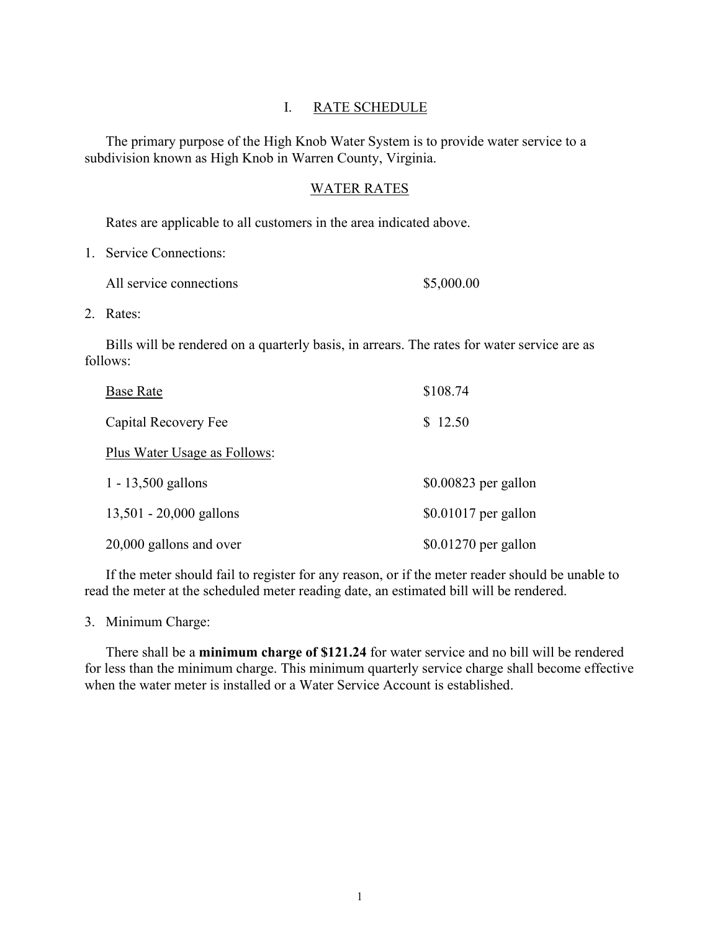#### I. RATE SCHEDULE

<span id="page-2-0"></span>The primary purpose of the High Knob Water System is to provide water service to a subdivision known as High Knob in Warren County, Virginia.

#### WATER RATES

Rates are applicable to all customers in the area indicated above.

1. Service Connections:

| All service connections | \$5,000.00 |
|-------------------------|------------|
|-------------------------|------------|

2. Rates:

Bills will be rendered on a quarterly basis, in arrears. The rates for water service are as follows:

| <b>Base Rate</b>             | \$108.74              |
|------------------------------|-----------------------|
| Capital Recovery Fee         | \$12.50               |
| Plus Water Usage as Follows: |                       |
| $1 - 13,500$ gallons         | $$0.00823$ per gallon |
| $13,501 - 20,000$ gallons    | $$0.01017$ per gallon |
| 20,000 gallons and over      | $$0.01270$ per gallon |

If the meter should fail to register for any reason, or if the meter reader should be unable to read the meter at the scheduled meter reading date, an estimated bill will be rendered.

3. Minimum Charge:

There shall be a **minimum charge of \$121.24** for water service and no bill will be rendered for less than the minimum charge. This minimum quarterly service charge shall become effective when the water meter is installed or a Water Service Account is established.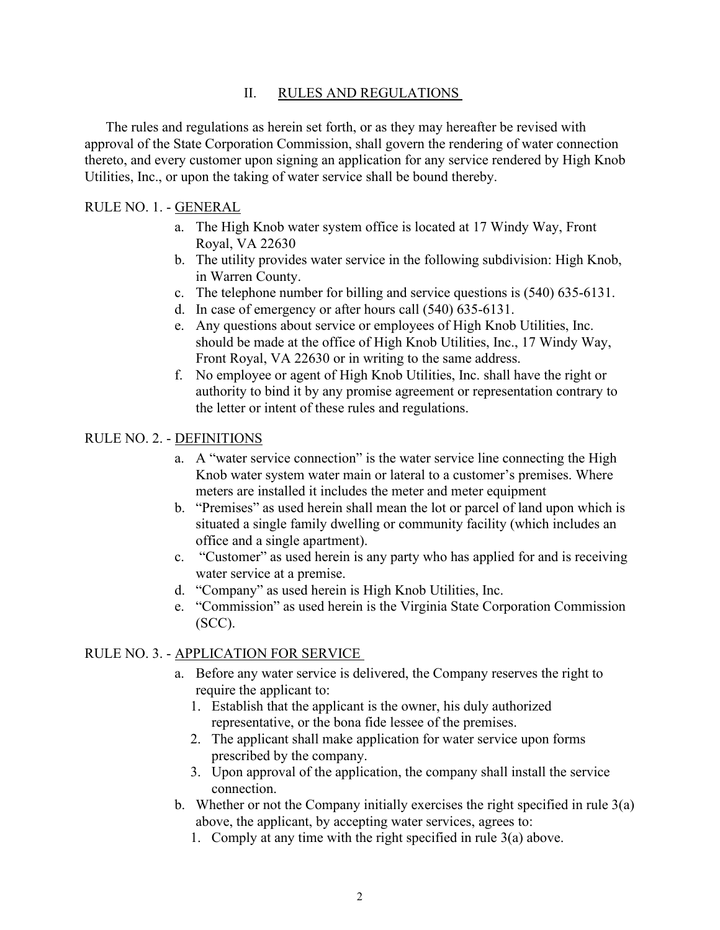#### II. RULES AND REGULATIONS

<span id="page-3-0"></span>The rules and regulations as herein set forth, or as they may hereafter be revised with approval of the State Corporation Commission, shall govern the rendering of water connection thereto, and every customer upon signing an application for any service rendered by High Knob Utilities, Inc., or upon the taking of water service shall be bound thereby.

#### <span id="page-3-1"></span>RULE NO. 1. - GENERAL

- a. The High Knob water system office is located at 17 Windy Way, Front Royal, VA 22630
- b. The utility provides water service in the following subdivision: High Knob, in Warren County.
- c. The telephone number for billing and service questions is (540) 635-6131.
- d. In case of emergency or after hours call (540) 635-6131.
- e. Any questions about service or employees of High Knob Utilities, Inc. should be made at the office of High Knob Utilities, Inc., 17 Windy Way, Front Royal, VA 22630 or in writing to the same address.
- f. No employee or agent of High Knob Utilities, Inc. shall have the right or authority to bind it by any promise agreement or representation contrary to the letter or intent of these rules and regulations.

#### <span id="page-3-2"></span>RULE NO. 2. - DEFINITIONS

- a. A "water service connection" is the water service line connecting the High Knob water system water main or lateral to a customer's premises. Where meters are installed it includes the meter and meter equipment
- b. "Premises" as used herein shall mean the lot or parcel of land upon which is situated a single family dwelling or community facility (which includes an office and a single apartment).
- c. "Customer" as used herein is any party who has applied for and is receiving water service at a premise.
- d. "Company" as used herein is High Knob Utilities, Inc.
- e. "Commission" as used herein is the Virginia State Corporation Commission (SCC).

#### <span id="page-3-3"></span>RULE NO. 3. - APPLICATION FOR SERVICE

- a. Before any water service is delivered, the Company reserves the right to require the applicant to:
	- 1. Establish that the applicant is the owner, his duly authorized representative, or the bona fide lessee of the premises.
	- 2. The applicant shall make application for water service upon forms prescribed by the company.
	- 3. Upon approval of the application, the company shall install the service connection.
- b. Whether or not the Company initially exercises the right specified in rule  $3(a)$ above, the applicant, by accepting water services, agrees to:
	- 1. Comply at any time with the right specified in rule 3(a) above.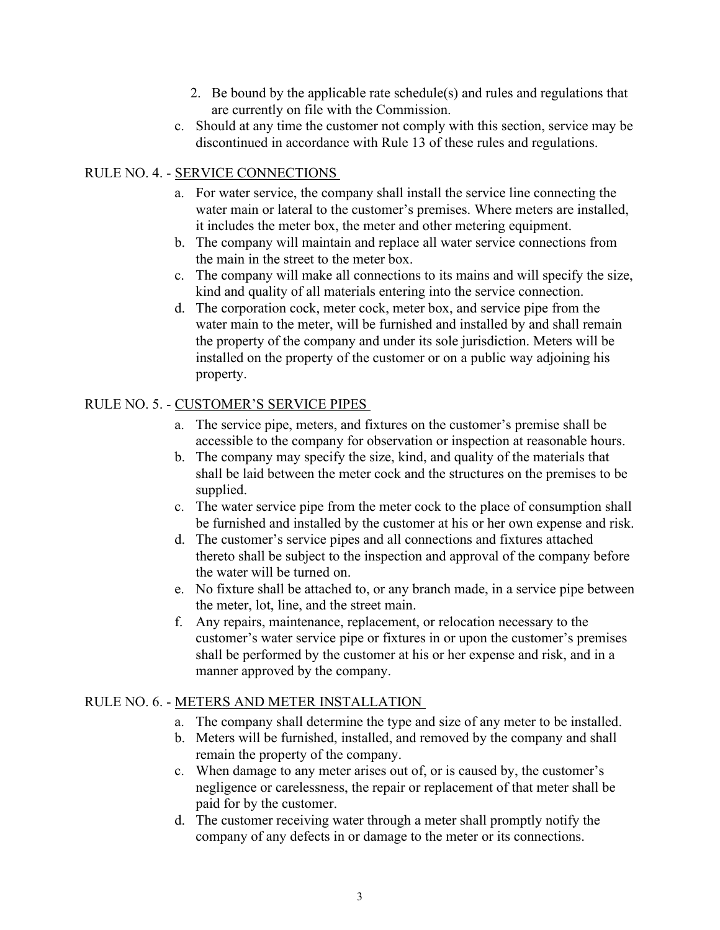- 2. Be bound by the applicable rate schedule(s) and rules and regulations that are currently on file with the Commission.
- c. Should at any time the customer not comply with this section, service may be discontinued in accordance with Rule 13 of these rules and regulations.

#### <span id="page-4-0"></span>RULE NO. 4. - SERVICE CONNECTIONS

- a. For water service, the company shall install the service line connecting the water main or lateral to the customer's premises. Where meters are installed, it includes the meter box, the meter and other metering equipment.
- b. The company will maintain and replace all water service connections from the main in the street to the meter box.
- c. The company will make all connections to its mains and will specify the size, kind and quality of all materials entering into the service connection.
- d. The corporation cock, meter cock, meter box, and service pipe from the water main to the meter, will be furnished and installed by and shall remain the property of the company and under its sole jurisdiction. Meters will be installed on the property of the customer or on a public way adjoining his property.

#### <span id="page-4-1"></span>RULE NO. 5. - CUSTOMER'S SERVICE PIPES

- a. The service pipe, meters, and fixtures on the customer's premise shall be accessible to the company for observation or inspection at reasonable hours.
- b. The company may specify the size, kind, and quality of the materials that shall be laid between the meter cock and the structures on the premises to be supplied.
- c. The water service pipe from the meter cock to the place of consumption shall be furnished and installed by the customer at his or her own expense and risk.
- d. The customer's service pipes and all connections and fixtures attached thereto shall be subject to the inspection and approval of the company before the water will be turned on.
- e. No fixture shall be attached to, or any branch made, in a service pipe between the meter, lot, line, and the street main.
- f. Any repairs, maintenance, replacement, or relocation necessary to the customer's water service pipe or fixtures in or upon the customer's premises shall be performed by the customer at his or her expense and risk, and in a manner approved by the company.

#### <span id="page-4-2"></span>RULE NO. 6. - METERS AND METER INSTALLATION

- a. The company shall determine the type and size of any meter to be installed.
- b. Meters will be furnished, installed, and removed by the company and shall remain the property of the company.
- c. When damage to any meter arises out of, or is caused by, the customer's negligence or carelessness, the repair or replacement of that meter shall be paid for by the customer.
- d. The customer receiving water through a meter shall promptly notify the company of any defects in or damage to the meter or its connections.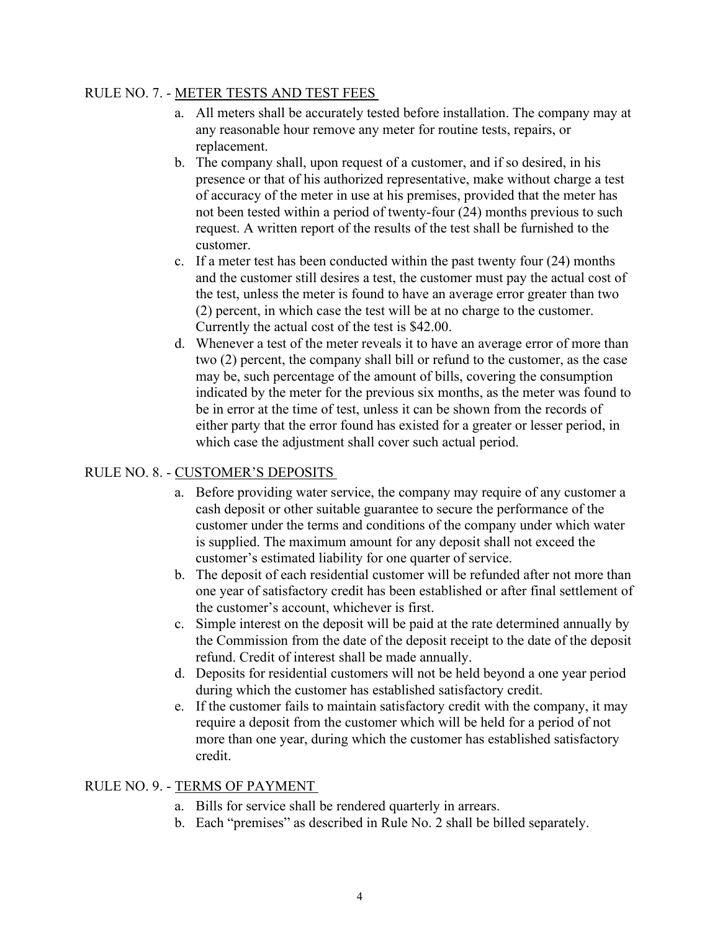#### <span id="page-5-0"></span>RULE NO. 7. - METER TESTS AND TEST FEES

- a. All meters shall be accurately tested before installation. The company may at any reasonable hour remove any meter for routine tests, repairs, or replacement.
- b. The company shall, upon request of a customer, and if so desired, in his presence or that of his authorized representative, make without charge a test of accuracy of the meter in use at his premises, provided that the meter has not been tested within a period of twenty-four (24) months previous to such request. A written report of the results of the test shall be furnished to the customer.
- c. If a meter test has been conducted within the past twenty four (24) months and the customer still desires a test, the customer must pay the actual cost of the test, unless the meter is found to have an average error greater than two (2) percent, in which case the test will be at no charge to the customer. Currently the actual cost of the test is \$42.00.
- d. Whenever a test of the meter reveals it to have an average error of more than two (2) percent, the company shall bill or refund to the customer, as the case may be, such percentage of the amount of bills, covering the consumption indicated by the meter for the previous six months, as the meter was found to be in error at the time of test, unless it can be shown from the records of either party that the error found has existed for a greater or lesser period, in which case the adjustment shall cover such actual period.

## <span id="page-5-1"></span>RULE NO. 8. - CUSTOMER'S DEPOSITS

- a. Before providing water service, the company may require of any customer a cash deposit or other suitable guarantee to secure the performance of the customer under the terms and conditions of the company under which water is supplied. The maximum amount for any deposit shall not exceed the customer's estimated liability for one quarter of service.
- b. The deposit of each residential customer will be refunded after not more than one year of satisfactory credit has been established or after final settlement of the customer's account, whichever is first.
- c. Simple interest on the deposit will be paid at the rate determined annually by the Commission from the date of the deposit receipt to the date of the deposit refund. Credit of interest shall be made annually.
- d. Deposits for residential customers will not be held beyond a one year period during which the customer has established satisfactory credit.
- e. If the customer fails to maintain satisfactory credit with the company, it may require a deposit from the customer which will be held for a period of not more than one year, during which the customer has established satisfactory credit.

#### <span id="page-5-2"></span>RULE NO. 9. - TERMS OF PAYMENT

- a. Bills for service shall be rendered quarterly in arrears.
- b. Each "premises" as described in Rule No. 2 shall be billed separately.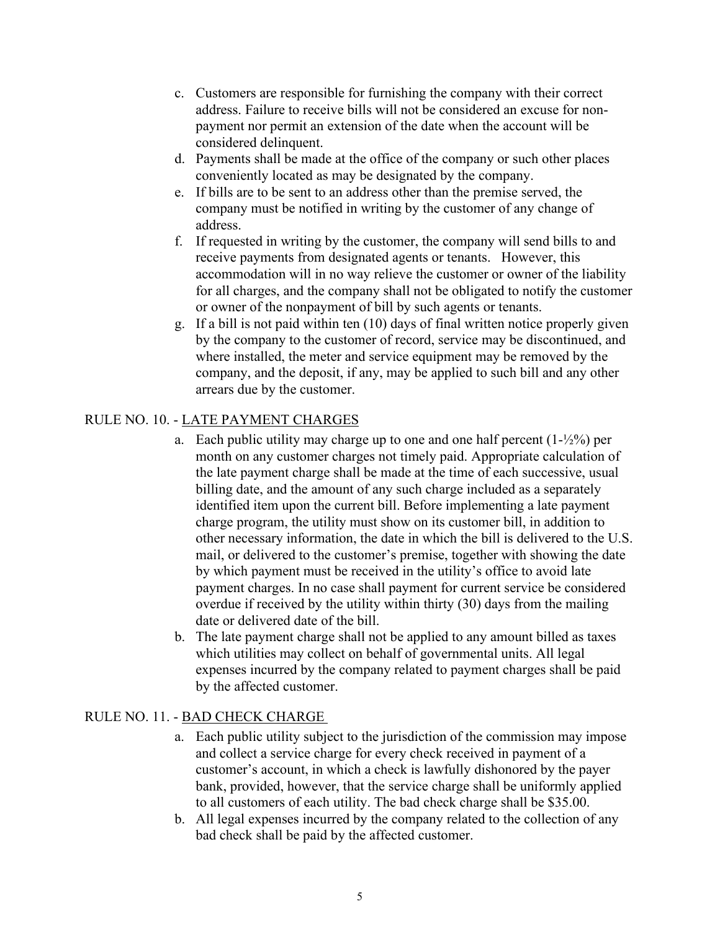- c. Customers are responsible for furnishing the company with their correct address. Failure to receive bills will not be considered an excuse for nonpayment nor permit an extension of the date when the account will be considered delinquent.
- d. Payments shall be made at the office of the company or such other places conveniently located as may be designated by the company.
- e. If bills are to be sent to an address other than the premise served, the company must be notified in writing by the customer of any change of address.
- f. If requested in writing by the customer, the company will send bills to and receive payments from designated agents or tenants. However, this accommodation will in no way relieve the customer or owner of the liability for all charges, and the company shall not be obligated to notify the customer or owner of the nonpayment of bill by such agents or tenants.
- g. If a bill is not paid within ten (10) days of final written notice properly given by the company to the customer of record, service may be discontinued, and where installed, the meter and service equipment may be removed by the company, and the deposit, if any, may be applied to such bill and any other arrears due by the customer.

## <span id="page-6-0"></span>RULE NO. 10. - LATE PAYMENT CHARGES

- a. Each public utility may charge up to one and one half percent  $(1-\frac{1}{2}\%)$  per month on any customer charges not timely paid. Appropriate calculation of the late payment charge shall be made at the time of each successive, usual billing date, and the amount of any such charge included as a separately identified item upon the current bill. Before implementing a late payment charge program, the utility must show on its customer bill, in addition to other necessary information, the date in which the bill is delivered to the U.S. mail, or delivered to the customer's premise, together with showing the date by which payment must be received in the utility's office to avoid late payment charges. In no case shall payment for current service be considered overdue if received by the utility within thirty (30) days from the mailing date or delivered date of the bill.
- b. The late payment charge shall not be applied to any amount billed as taxes which utilities may collect on behalf of governmental units. All legal expenses incurred by the company related to payment charges shall be paid by the affected customer.

#### <span id="page-6-1"></span>RULE NO. 11. - BAD CHECK CHARGE

- a. Each public utility subject to the jurisdiction of the commission may impose and collect a service charge for every check received in payment of a customer's account, in which a check is lawfully dishonored by the payer bank, provided, however, that the service charge shall be uniformly applied to all customers of each utility. The bad check charge shall be \$35.00.
- b. All legal expenses incurred by the company related to the collection of any bad check shall be paid by the affected customer.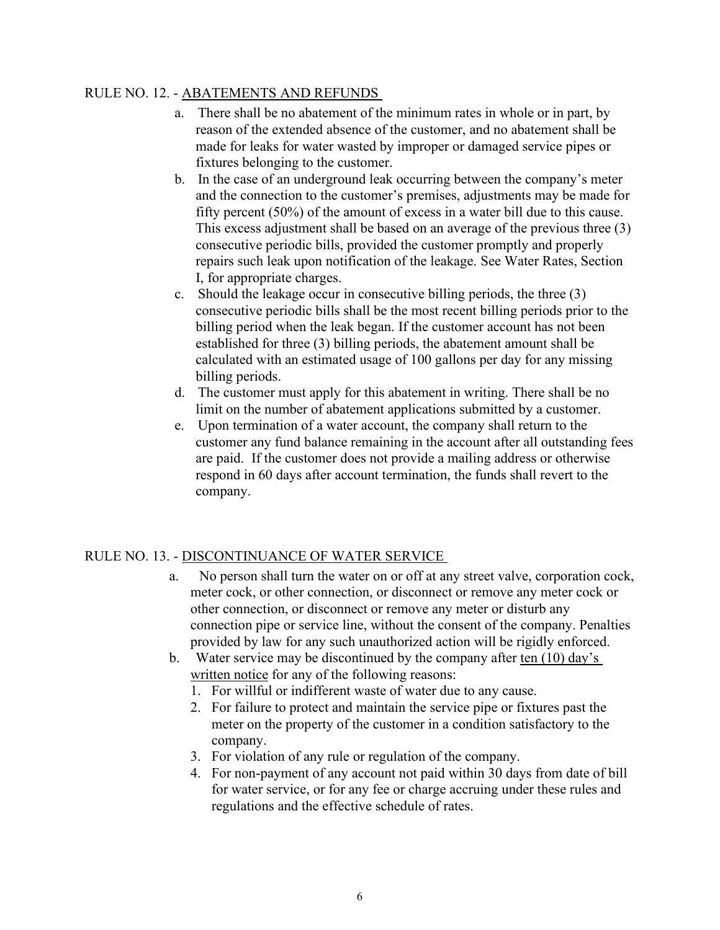#### <span id="page-7-0"></span>RULE NO. 12. - ABATEMENTS AND REFUNDS

- a. There shall be no abatement of the minimum rates in whole or in part, by reason of the extended absence of the customer, and no abatement shall be made for leaks for water wasted by improper or damaged service pipes or fixtures belonging to the customer.
- b. In the case of an underground leak occurring between the company's meter and the connection to the customer's premises, adjustments may be made for fifty percent (50%) of the amount of excess in a water bill due to this cause. This excess adjustment shall be based on an average of the previous three (3) consecutive periodic bills, provided the customer promptly and properly repairs such leak upon notification of the leakage. See Water Rates, Section I, for appropriate charges.
- c. Should the leakage occur in consecutive billing periods, the three (3) consecutive periodic bills shall be the most recent billing periods prior to the billing period when the leak began. If the customer account has not been established for three (3) billing periods, the abatement amount shall be calculated with an estimated usage of 100 gallons per day for any missing billing periods.
- d. The customer must apply for this abatement in writing. There shall be no limit on the number of abatement applications submitted by a customer.
- e. Upon termination of a water account, the company shall return to the customer any fund balance remaining in the account after all outstanding fees are paid. If the customer does not provide a mailing address or otherwise respond in 60 days after account termination, the funds shall revert to the company.

#### <span id="page-7-1"></span>RULE NO. 13. - DISCONTINUANCE OF WATER SERVICE

- a. No person shall turn the water on or off at any street valve, corporation cock, meter cock, or other connection, or disconnect or remove any meter cock or other connection, or disconnect or remove any meter or disturb any connection pipe or service line, without the consent of the company. Penalties provided by law for any such unauthorized action will be rigidly enforced.
- b. Water service may be discontinued by the company after ten (10) day's written notice for any of the following reasons:
	- 1. For willful or indifferent waste of water due to any cause.
	- 2. For failure to protect and maintain the service pipe or fixtures past the meter on the property of the customer in a condition satisfactory to the company.
	- 3. For violation of any rule or regulation of the company.
	- 4. For non-payment of any account not paid within 30 days from date of bill for water service, or for any fee or charge accruing under these rules and regulations and the effective schedule of rates.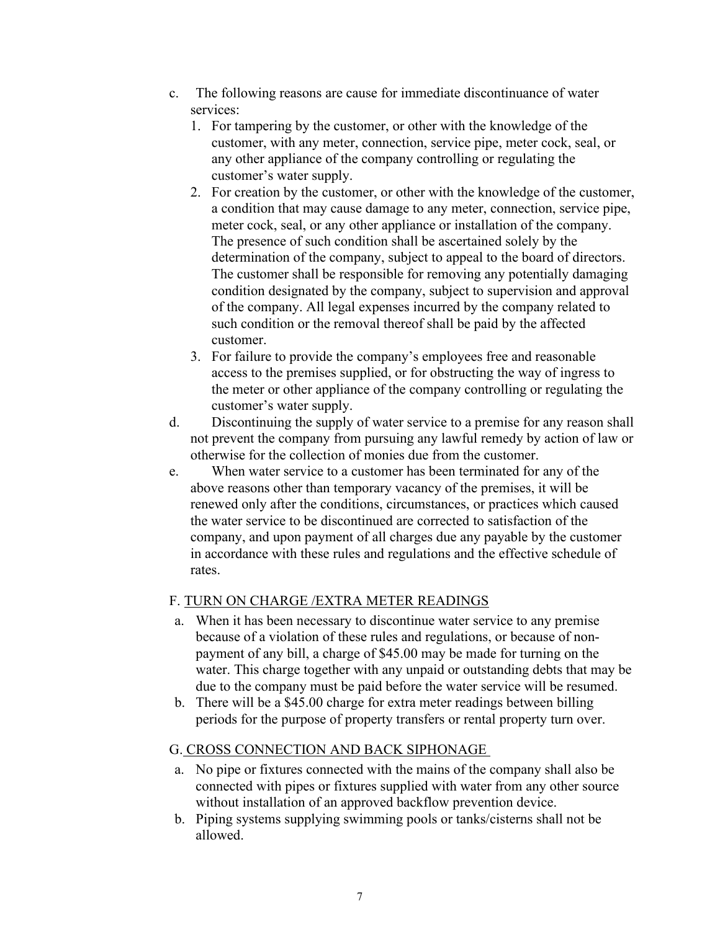- c. The following reasons are cause for immediate discontinuance of water services:
	- 1. For tampering by the customer, or other with the knowledge of the customer, with any meter, connection, service pipe, meter cock, seal, or any other appliance of the company controlling or regulating the customer's water supply.
	- 2. For creation by the customer, or other with the knowledge of the customer, a condition that may cause damage to any meter, connection, service pipe, meter cock, seal, or any other appliance or installation of the company. The presence of such condition shall be ascertained solely by the determination of the company, subject to appeal to the board of directors. The customer shall be responsible for removing any potentially damaging condition designated by the company, subject to supervision and approval of the company. All legal expenses incurred by the company related to such condition or the removal thereof shall be paid by the affected customer.
	- 3. For failure to provide the company's employees free and reasonable access to the premises supplied, or for obstructing the way of ingress to the meter or other appliance of the company controlling or regulating the customer's water supply.
- d. Discontinuing the supply of water service to a premise for any reason shall not prevent the company from pursuing any lawful remedy by action of law or otherwise for the collection of monies due from the customer.
- e. When water service to a customer has been terminated for any of the above reasons other than temporary vacancy of the premises, it will be renewed only after the conditions, circumstances, or practices which caused the water service to be discontinued are corrected to satisfaction of the company, and upon payment of all charges due any payable by the customer in accordance with these rules and regulations and the effective schedule of rates.

#### <span id="page-8-0"></span>F. TURN ON CHARGE /EXTRA METER READINGS

- a. When it has been necessary to discontinue water service to any premise because of a violation of these rules and regulations, or because of nonpayment of any bill, a charge of \$45.00 may be made for turning on the water. This charge together with any unpaid or outstanding debts that may be due to the company must be paid before the water service will be resumed.
- b. There will be a \$45.00 charge for extra meter readings between billing periods for the purpose of property transfers or rental property turn over.

## <span id="page-8-1"></span>G. CROSS CONNECTION AND BACK SIPHONAGE

- a. No pipe or fixtures connected with the mains of the company shall also be connected with pipes or fixtures supplied with water from any other source without installation of an approved backflow prevention device.
- b. Piping systems supplying swimming pools or tanks/cisterns shall not be allowed.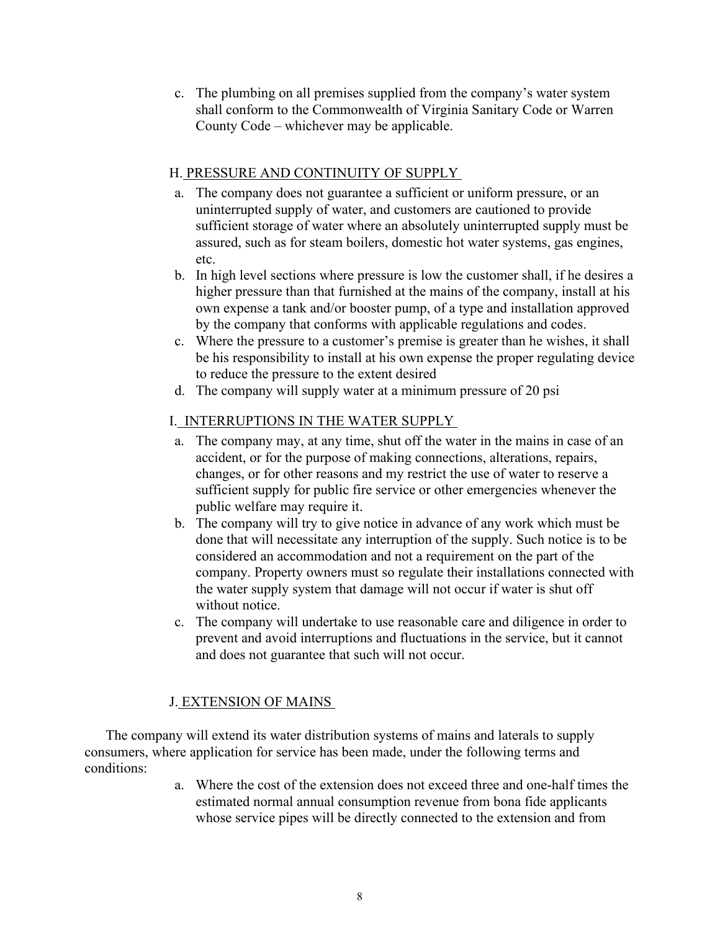c. The plumbing on all premises supplied from the company's water system shall conform to the Commonwealth of Virginia Sanitary Code or Warren County Code – whichever may be applicable.

#### <span id="page-9-0"></span>H. PRESSURE AND CONTINUITY OF SUPPLY

- a. The company does not guarantee a sufficient or uniform pressure, or an uninterrupted supply of water, and customers are cautioned to provide sufficient storage of water where an absolutely uninterrupted supply must be assured, such as for steam boilers, domestic hot water systems, gas engines, etc.
- b. In high level sections where pressure is low the customer shall, if he desires a higher pressure than that furnished at the mains of the company, install at his own expense a tank and/or booster pump, of a type and installation approved by the company that conforms with applicable regulations and codes.
- c. Where the pressure to a customer's premise is greater than he wishes, it shall be his responsibility to install at his own expense the proper regulating device to reduce the pressure to the extent desired
- d. The company will supply water at a minimum pressure of 20 psi

## <span id="page-9-1"></span>I. INTERRUPTIONS IN THE WATER SUPPLY

- a. The company may, at any time, shut off the water in the mains in case of an accident, or for the purpose of making connections, alterations, repairs, changes, or for other reasons and my restrict the use of water to reserve a sufficient supply for public fire service or other emergencies whenever the public welfare may require it.
- b. The company will try to give notice in advance of any work which must be done that will necessitate any interruption of the supply. Such notice is to be considered an accommodation and not a requirement on the part of the company. Property owners must so regulate their installations connected with the water supply system that damage will not occur if water is shut off without notice.
- c. The company will undertake to use reasonable care and diligence in order to prevent and avoid interruptions and fluctuations in the service, but it cannot and does not guarantee that such will not occur.

## J. EXTENSION OF MAINS

<span id="page-9-2"></span>The company will extend its water distribution systems of mains and laterals to supply consumers, where application for service has been made, under the following terms and conditions:

> a. Where the cost of the extension does not exceed three and one-half times the estimated normal annual consumption revenue from bona fide applicants whose service pipes will be directly connected to the extension and from